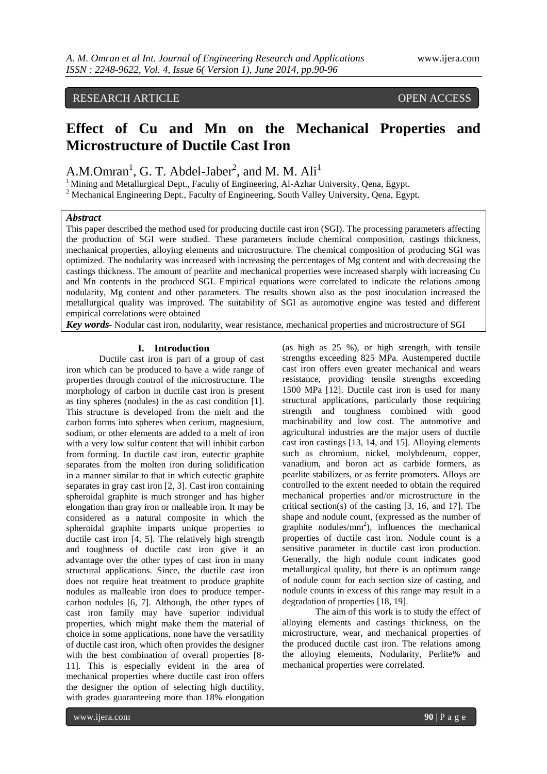# RESEARCH ARTICLE OPEN ACCESS

# **Effect of Cu and Mn on the Mechanical Properties and Microstructure of Ductile Cast Iron**

A.M.Omran<sup>1</sup>, G. T. Abdel-Jaber<sup>2</sup>, and M. M. Ali<sup>1</sup>

<sup>1</sup> Mining and Metallurgical Dept., Faculty of Engineering, Al-Azhar University, Qena, Egypt.

<sup>2</sup> Mechanical Engineering Dept., Faculty of Engineering, South Valley University, Qena, Egypt.

# *Abstract*

This paper described the method used for producing ductile cast iron (SGI). The processing parameters affecting the production of SGI were studied. These parameters include chemical composition, castings thickness, mechanical properties, alloying elements and microstructure. The chemical composition of producing SGI was optimized. The nodularity was increased with increasing the percentages of Mg content and with decreasing the castings thickness. The amount of pearlite and mechanical properties were increased sharply with increasing Cu and Mn contents in the produced SGI. Empirical equations were correlated to indicate the relations among nodularity, Mg content and other parameters. The results shown also as the post inoculation increased the metallurgical quality was improved. The suitability of SGI as automotive engine was tested and different empirical correlations were obtained

*Key words-* Nodular cast iron, nodularity, wear resistance, mechanical properties and microstructure of SGI

# **I. Introduction**

Ductile cast iron is part of a group of cast iron which can be produced to have a wide range of properties through control of the microstructure. The morphology of carbon in ductile cast iron is present as tiny spheres (nodules) in the as cast condition [1]. This structure is developed from the melt and the carbon forms into spheres when cerium, magnesium, sodium, or other elements are added to a melt of iron with a very low sulfur content that will inhibit carbon from forming. In ductile cast iron, eutectic graphite separates from the molten iron during solidification in a manner similar to that in which eutectic graphite separates in gray cast iron [2, 3]. Cast iron containing spheroidal graphite is much stronger and has higher elongation than gray iron or malleable iron. It may be considered as a natural composite in which the spheroidal graphite imparts unique properties to ductile cast iron [4, 5]. The relatively high strength and toughness of ductile cast iron give it an advantage over the other types of cast iron in many structural applications. Since, the ductile cast iron does not require heat treatment to produce graphite nodules as malleable iron does to produce tempercarbon nodules [6, 7]. Although, the other types of cast iron family may have superior individual properties, which might make them the material of choice in some applications, none have the versatility of ductile cast iron, which often provides the designer with the best combination of overall properties [8- 11]. This is especially evident in the area of mechanical properties where ductile cast iron offers the designer the option of selecting high ductility, with grades guaranteeing more than 18% elongation

(as high as 25 %), or high strength, with tensile strengths exceeding 825 MPa. Austempered ductile cast iron offers even greater mechanical and wears resistance, providing tensile strengths exceeding 1500 MPa [12]. Ductile cast iron is used for many structural applications, particularly those requiring strength and toughness combined with good machinability and low cost. The automotive and agricultural industries are the major users of ductile cast iron castings [13, 14, and 15]. Alloying elements such as chromium, nickel, molybdenum, copper, vanadium, and boron act as carbide formers, as pearlite stabilizers, or as ferrite promoters. Alloys are controlled to the extent needed to obtain the required mechanical properties and/or microstructure in the critical section(s) of the casting [3, 16, and 17]. The shape and nodule count, (expressed as the number of graphite nodules/ $mm<sup>2</sup>$ ), influences the mechanical properties of ductile cast iron. Nodule count is a sensitive parameter in ductile cast iron production. Generally, the high nodule count indicates good metallurgical quality, but there is an optimum range of nodule count for each section size of casting, and nodule counts in excess of this range may result in a degradation of properties [18, 19].

The aim of this work is to study the effect of alloying elements and castings thickness, on the microstructure, wear, and mechanical properties of the produced ductile cast iron. The relations among the alloying elements, Nodularity, Perlite% and mechanical properties were correlated.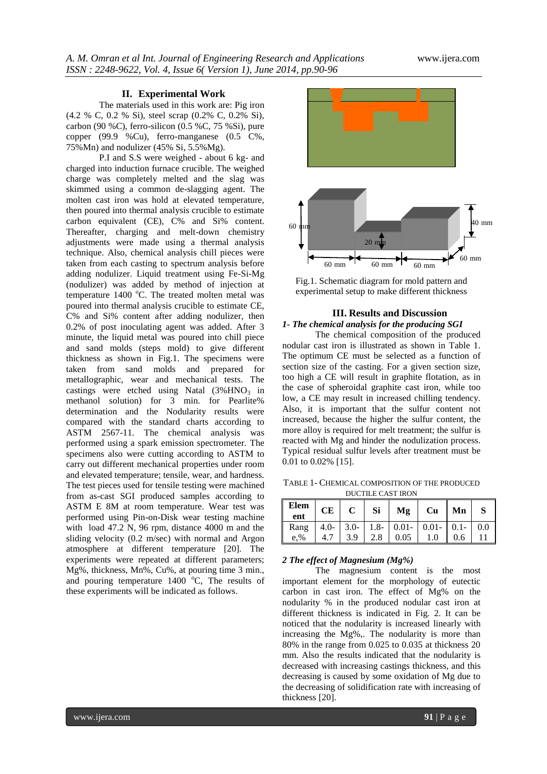#### **II. Experimental Work**

The materials used in this work are: Pig iron (4.2 % C, 0.2 % Si), steel scrap (0.2% C, 0.2% Si), carbon (90 %C), ferro-silicon (0.5 %C, 75 %Si), pure copper (99.9 %Cu), ferro-manganese (0.5 C%, 75%Mn) and nodulizer (45% Si, 5.5%Mg).

P.I and S.S were weighed - about 6 kg- and charged into induction furnace crucible. The weighed charge was completely melted and the slag was skimmed using a common de-slagging agent. The molten cast iron was hold at elevated temperature, then poured into thermal analysis crucible to estimate carbon equivalent (CE), C% and Si% content. Thereafter, charging and melt-down chemistry adjustments were made using a thermal analysis technique. Also, chemical analysis chill pieces were taken from each casting to spectrum analysis before adding nodulizer. Liquid treatment using Fe-Si-Mg (nodulizer) was added by method of injection at temperature 1400 °C. The treated molten metal was poured into thermal analysis crucible to estimate CE, C% and Si% content after adding nodulizer, then 0.2% of post inoculating agent was added. After 3 minute, the liquid metal was poured into chill piece and sand molds (steps mold) to give different thickness as shown in Fig.1. The specimens were taken from sand molds and prepared for metallographic, wear and mechanical tests. The castings were etched using Natal  $(3\%$  HNO<sub>3</sub> in methanol solution) for 3 min. for Pearlite% determination and the Nodularity results were compared with the standard charts according to ASTM 2567-11. The chemical analysis was performed using a spark emission spectrometer. The specimens also were cutting according to ASTM to carry out different mechanical properties under room and elevated temperature; tensile, wear, and hardness. The test pieces used for tensile testing were machined from as-cast SGI produced samples according to ASTM E 8M at room temperature. Wear test was performed using Pin-on-Disk wear testing machine with load 47.2 N, 96 rpm, distance 4000 m and the sliding velocity (0.2 m/sec) with normal and Argon atmosphere at different temperature [20]. The experiments were repeated at different parameters; Mg%, thickness, Mn%, Cu%, at pouring time 3 min. and pouring temperature  $1400$  °C. The results of these experiments will be indicated as follows.



Fig.1. Schematic diagram for mold pattern and experimental setup to make different thickness na <sub>m</sub> plc

# **III. Results and Discussion** *1- The chemical analysis for the producing SGI*

The chemical composition of the produced nodular cast iron is illustrated as shown in Table 1. The optimum CE must be selected as a function of section size of the casting. For a given section size, too high a CE will result in graphite flotation, as in the case of spheroidal graphite cast iron, while too low, a CE may result in increased chilling tendency. Also, it is important that the sulfur content not increased, because the higher the sulfur content, the more alloy is required for melt treatment; the sulfur is reacted with Mg and hinder the nodulization process. Typical residual sulfur levels after treatment must be 0.01 to 0.02% [15].

TABLE 1- CHEMICAL COMPOSITION OF THE PRODUCED DUCTILE CAST IRON

| Elem<br>ent | CE | $\mathbf{C}$ | Si Mg                                                  | Cu  | Mn  |  |
|-------------|----|--------------|--------------------------------------------------------|-----|-----|--|
|             |    |              | Rang   4.0-   3.0-   1.8-   0.01-   0.01-   0.1-   0.0 |     |     |  |
| e.%         |    | 3.9          | $2.8 \quad 0.05$                                       | 1.0 | 0.6 |  |

# *2 The effect of Magnesium (Mg%)*

The magnesium content is the most important element for the morphology of eutectic carbon in cast iron. The effect of Mg% on the nodularity % in the produced nodular cast iron at different thickness is indicated in Fig. 2. It can be noticed that the nodularity is increased linearly with increasing the Mg%,. The nodularity is more than 80% in the range from 0.025 to 0.035 at thickness 20 mm. Also the results indicated that the nodularity is decreased with increasing castings thickness, and this decreasing is caused by some oxidation of Mg due to the decreasing of solidification rate with increasing of thickness [20].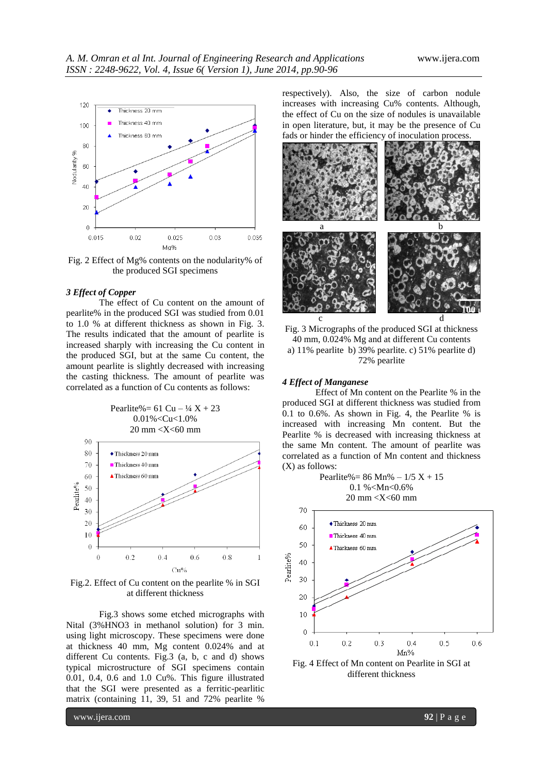

Fig. 2 Effect of Mg% contents on the nodularity% of the produced SGI specimens

#### *3 Effect of Copper*

The effect of Cu content on the amount of pearlite% in the produced SGI was studied from 0.01 to 1.0 % at different thickness as shown in Fig. 3. The results indicated that the amount of pearlite is increased sharply with increasing the Cu content in the produced SGI, but at the same Cu content, the amount pearlite is slightly decreased with increasing the casting thickness. The amount of pearlite was correlated as a function of Cu contents as follows:



Fig.2. Effect of Cu content on the pearlite % in SGI at different thickness

Fig.3 shows some etched micrographs with Nital (3%HNO3 in methanol solution) for 3 min. using light microscopy. These specimens were done at thickness 40 mm, Mg content 0.024% and at different Cu contents. Fig.3 (a, b, c and d) shows typical microstructure of SGI specimens contain 0.01, 0.4, 0.6 and 1.0 Cu%. This figure illustrated that the SGI were presented as a ferritic-pearlitic matrix (containing 11, 39, 51 and 72% pearlite %

respectively). Also, the size of carbon nodule increases with increasing Cu% contents. Although, the effect of Cu on the size of nodules is unavailable in open literature, but, it may be the presence of Cu fads or hinder the efficiency of inoculation process.



Fig. 3 Micrographs of the produced SGI at thickness 40 mm, 0.024% Mg and at different Cu contents a) 11% pearlite b) 39% pearlite. c) 51% pearlite d) 72% pearlite

#### *4 Effect of Manganese*

Effect of Mn content on the Pearlite % in the produced SGI at different thickness was studied from 0.1 to 0.6%. As shown in Fig. 4, the Pearlite % is increased with increasing Mn content. But the Pearlite % is decreased with increasing thickness at the same Mn content. The amount of pearlite was correlated as a function of Mn content and thickness (X) as follows:

Pearlite% =  $86 \text{ Mn}$ % –  $1/5 \text{ X} + 15$ 0.1 %<Mn<0.6% 20 mm <X<60 mm



Fig. 4 Effect of Mn content on Pearlite in SGI at different thickness

www.ijera.com **92** | P a g e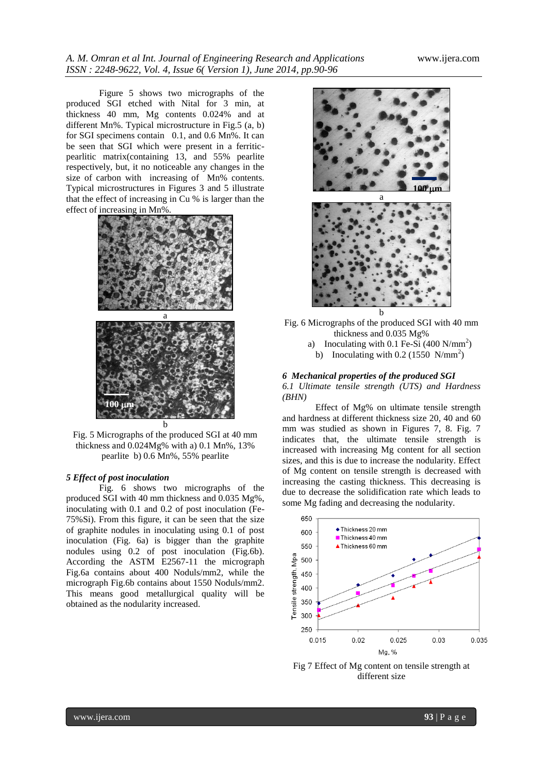Figure 5 shows two micrographs of the produced SGI etched with Nital for 3 min, at thickness 40 mm, Mg contents 0.024% and at different Mn%. Typical microstructure in Fig.5 (a, b) for SGI specimens contain 0.1, and 0.6 Mn%. It can be seen that SGI which were present in a ferriticpearlitic matrix(containing 13, and 55% pearlite respectively, but, it no noticeable any changes in the size of carbon with increasing of Mn% contents. Typical microstructures in Figures 3 and 5 illustrate that the effect of increasing in Cu % is larger than the effect of increasing in Mn%.



Fig. 5 Micrographs of the produced SGI at 40 mm thickness and 0.024Mg% with a) 0.1 Mn%, 13% pearlite b) 0.6 Mn%, 55% pearlite

# *5 Effect of post inoculation*

Fig. 6 shows two micrographs of the produced SGI with 40 mm thickness and 0.035 Mg%, inoculating with 0.1 and 0.2 of post inoculation (Fe-75%Si). From this figure, it can be seen that the size of graphite nodules in inoculating using 0.1 of post inoculation (Fig. 6a) is bigger than the graphite nodules using 0.2 of post inoculation (Fig.6b). According the ASTM E2567-11 the micrograph Fig.6a contains about 400 Noduls/mm2, while the micrograph Fig.6b contains about 1550 Noduls/mm2. This means good metallurgical quality will be obtained as the nodularity increased.



Fig. 6 Micrographs of the produced SGI with 40 mm thickness and 0.035 Mg% a) Inoculating with 0.1 Fe-Si  $(400 \text{ N/mm}^2)$ 

b) Inoculating with  $0.2$  (1550 N/mm<sup>2</sup>)

#### *6 Mechanical properties of the produced SGI*

*6.1 Ultimate tensile strength (UTS) and Hardness (BHN)*

Effect of Mg% on ultimate tensile strength and hardness at different thickness size 20, 40 and 60 mm was studied as shown in Figures 7, 8. Fig. 7 indicates that, the ultimate tensile strength is increased with increasing Mg content for all section sizes, and this is due to increase the nodularity. Effect of Mg content on tensile strength is decreased with increasing the casting thickness. This decreasing is due to decrease the solidification rate which leads to some Mg fading and decreasing the nodularity.



Fig 7 Effect of Mg content on tensile strength at different size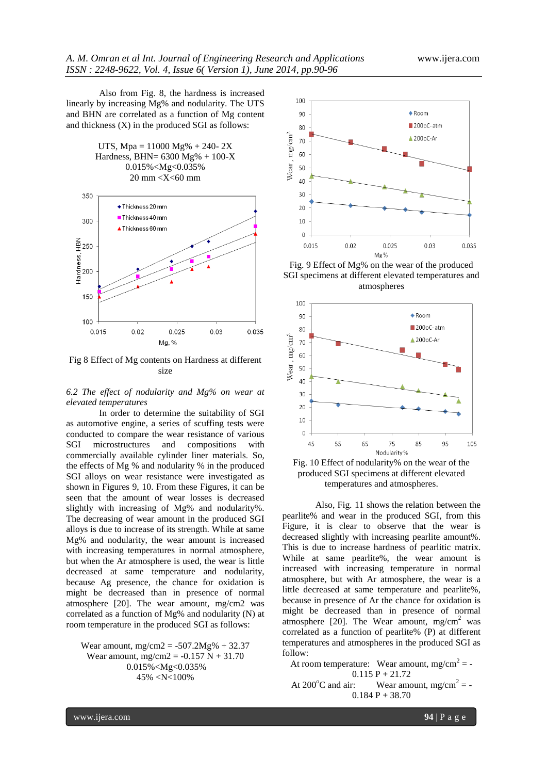Also from Fig. 8, the hardness is increased linearly by increasing Mg% and nodularity. The UTS and BHN are correlated as a function of Mg content and thickness (X) in the produced SGI as follows:



Fig 8 Effect of Mg contents on Hardness at different size

Mg, %

 $0.025$ 

 $0.03$ 

0.035

 $0.02$ 

0.015

*6.2 The effect of nodularity and Mg% on wear at elevated temperatures*

In order to determine the suitability of SGI as automotive engine, a series of scuffing tests were conducted to compare the wear resistance of various SGI microstructures and compositions with commercially available cylinder liner materials. So, the effects of Mg % and nodularity % in the produced SGI alloys on wear resistance were investigated as shown in Figures 9, 10. From these Figures, it can be seen that the amount of wear losses is decreased slightly with increasing of Mg% and nodularity%. The decreasing of wear amount in the produced SGI alloys is due to increase of its strength. While at same Mg% and nodularity, the wear amount is increased with increasing temperatures in normal atmosphere, but when the Ar atmosphere is used, the wear is little decreased at same temperature and nodularity, because Ag presence, the chance for oxidation is might be decreased than in presence of normal atmosphere [20]. The wear amount, mg/cm2 was correlated as a function of Mg% and nodularity (N) at room temperature in the produced SGI as follows:

Wear amount,  $mg/cm2 = -507.2mg% + 32.37$ Wear amount,  $mg/cm2 = -0.157 N + 31.70$ 0.015%<Mg<0.035% 45% <N<100%



Fig. 9 Effect of Mg% on the wear of the produced SGI specimens at different elevated temperatures and atmospheres





Also, Fig. 11 shows the relation between the pearlite% and wear in the produced SGI, from this Figure, it is clear to observe that the wear is decreased slightly with increasing pearlite amount%. This is due to increase hardness of pearlitic matrix. While at same pearlite%, the wear amount is increased with increasing temperature in normal atmosphere, but with Ar atmosphere, the wear is a little decreased at same temperature and pearlite%, because in presence of Ar the chance for oxidation is might be decreased than in presence of normal atmosphere [20]. The Wear amount,  $mg/cm^2$  was correlated as a function of pearlite% (P) at different temperatures and atmospheres in the produced SGI as follow:

At room temperature: Wear amount,  $mg/cm^2 = 0.115 P + 21.72$ At 200<sup>o</sup>C and air: Wear amount, mg/cm<sup>2</sup> = - $0.184 P + 38.70$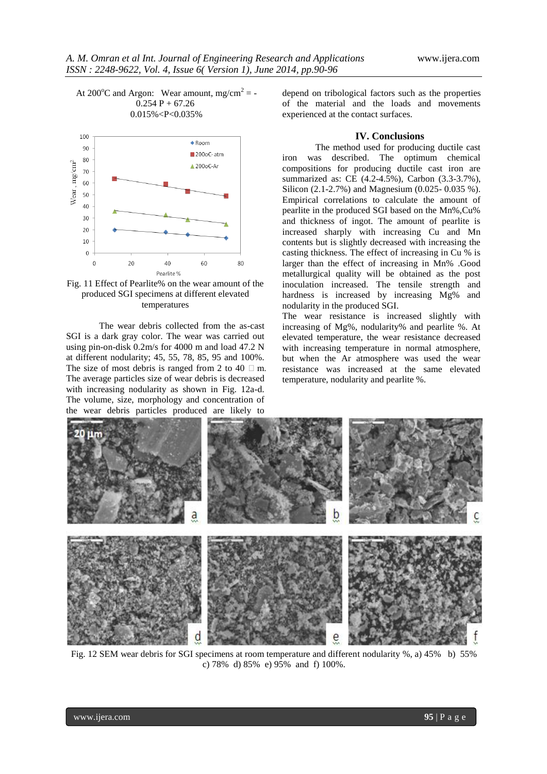

Fig. 11 Effect of Pearlite% on the wear amount of the produced SGI specimens at different elevated temperatures

The wear debris collected from the as-cast SGI is a dark gray color. The wear was carried out using pin-on-disk 0.2m/s for 4000 m and load 47.2 N at different nodularity; 45, 55, 78, 85, 95 and 100%. The size of most debris is ranged from 2 to 40  $\Box$  m. The average particles size of wear debris is decreased with increasing nodularity as shown in Fig. 12a-d. The volume, size, morphology and concentration of the wear debris particles produced are likely to

depend on tribological factors such as the properties of the material and the loads and movements experienced at the contact surfaces.

# **IV. Conclusions**

The method used for producing ductile cast iron was described. The optimum chemical compositions for producing ductile cast iron are summarized as: CE (4.2-4.5%), Carbon (3.3-3.7%), Silicon (2.1-2.7%) and Magnesium (0.025- 0.035 %). Empirical correlations to calculate the amount of pearlite in the produced SGI based on the Mn%,Cu% and thickness of ingot. The amount of pearlite is increased sharply with increasing Cu and Mn contents but is slightly decreased with increasing the casting thickness. The effect of increasing in Cu % is larger than the effect of increasing in Mn% .Good metallurgical quality will be obtained as the post inoculation increased. The tensile strength and hardness is increased by increasing Mg% and nodularity in the produced SGI.

The wear resistance is increased slightly with increasing of Mg%, nodularity% and pearlite %. At elevated temperature, the wear resistance decreased with increasing temperature in normal atmosphere, but when the Ar atmosphere was used the wear resistance was increased at the same elevated temperature, nodularity and pearlite %.



Fig. 12 SEM wear debris for SGI specimens at room temperature and different nodularity %, a) 45% b) 55% c) 78% d) 85% e) 95% and f) 100%.